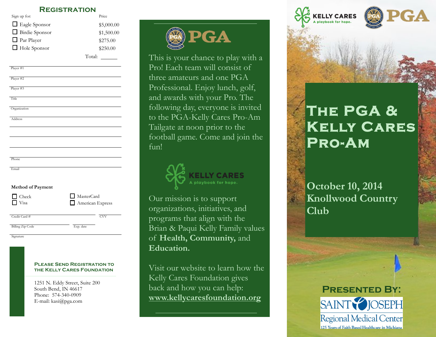#### **Registration**

| Sign up for:          | Price      |
|-----------------------|------------|
| $\Box$ Eagle Sponsor  | \$5,000.00 |
| $\Box$ Birdie Sponsor | \$1,500.00 |
| $\Box$ Par Player     | \$275.00   |
| $\Box$ Hole Sponsor   | \$250.00   |
|                       | Total:     |

| Player #1      |  |
|----------------|--|
| Player #2      |  |
| Player #3      |  |
| Title          |  |
| Organization   |  |
| <b>Address</b> |  |
|                |  |
|                |  |
|                |  |
| Phone          |  |

#### **Method of Payment**

| $\Box$ Check  | MasterCard       |
|---------------|------------------|
| $\Box$ Visa   | American Express |
| Credit Card # | CVV              |

Signature Billing Zip Code Exp. date

Email

#### **Please Send Registration to the Kelly Cares Foundation**

1251 N. Eddy Street, Suite 200 South Bend, IN 46617 Phone: 574-340-0909 E-mail: kasi@pga.com



This is your chance to play with a Pro! Each team will consist of three amateurs and one PGA Professional. Enjoy lunch, golf, and awards with your Pro. The following day, everyone is invited to the PGA-Kelly Cares Pro-Am Tailgate at noon prior to the football game. Come and join the fun!



Our mission is to support organizations, initiatives, and programs that align with the Brian & Paqui Kelly Family values of **Health, Community,** and **Education.** 

Visit our website to learn how the Kelly Cares Foundation gives back and how you can help: **www.kellycaresfoundation.org**



# **The PGA & Kelly Cares Pro-Am**

**October 10, 2014 Knollwood Country Club**